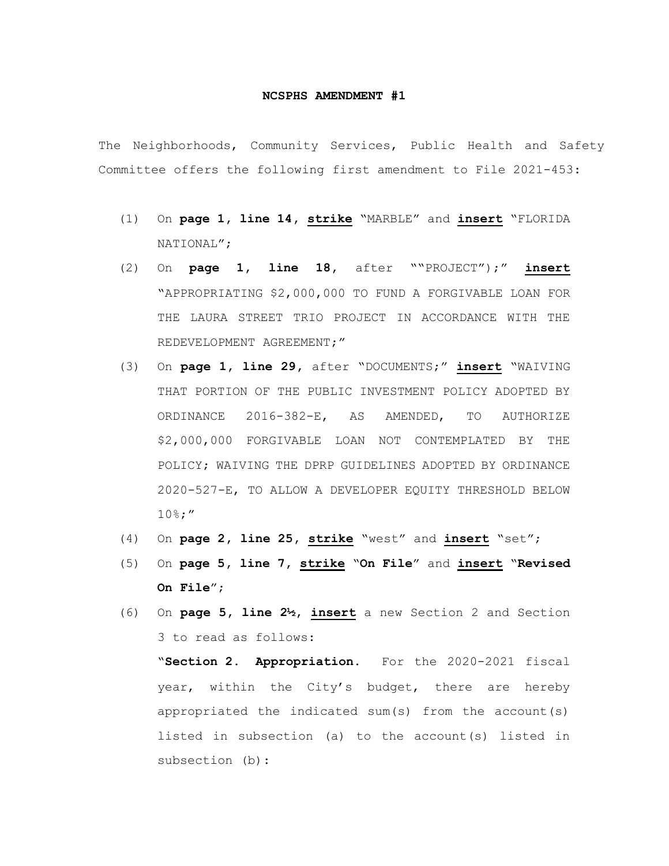## **NCSPHS AMENDMENT #1**

The Neighborhoods, Community Services, Public Health and Safety Committee offers the following first amendment to File 2021-453:

- (1) On **page 1, line 14, strike** "MARBLE" and **insert** "FLORIDA NATIONAL";
- (2) On **page 1, line 18,** after ""PROJECT");" **insert** "APPROPRIATING \$2,000,000 TO FUND A FORGIVABLE LOAN FOR THE LAURA STREET TRIO PROJECT IN ACCORDANCE WITH THE REDEVELOPMENT AGREEMENT;"
- (3) On **page 1, line 29,** after "DOCUMENTS;" **insert** "WAIVING THAT PORTION OF THE PUBLIC INVESTMENT POLICY ADOPTED BY ORDINANCE 2016-382-E, AS AMENDED, TO AUTHORIZE \$2,000,000 FORGIVABLE LOAN NOT CONTEMPLATED BY THE POLICY; WAIVING THE DPRP GUIDELINES ADOPTED BY ORDINANCE 2020-527-E, TO ALLOW A DEVELOPER EQUITY THRESHOLD BELOW 10%;"
- (4) On **page 2, line 25, strike** "west" and **insert** "set";
- (5) On **page 5, line 7, strike** "**On File**" and **insert** "**Revised On File**";
- (6) On **page 5, line 2½, insert** a new Section 2 and Section 3 to read as follows:

"**Section 2. Appropriation.** For the 2020-2021 fiscal year, within the City's budget, there are hereby appropriated the indicated sum(s) from the account(s) listed in subsection (a) to the account(s) listed in subsection (b):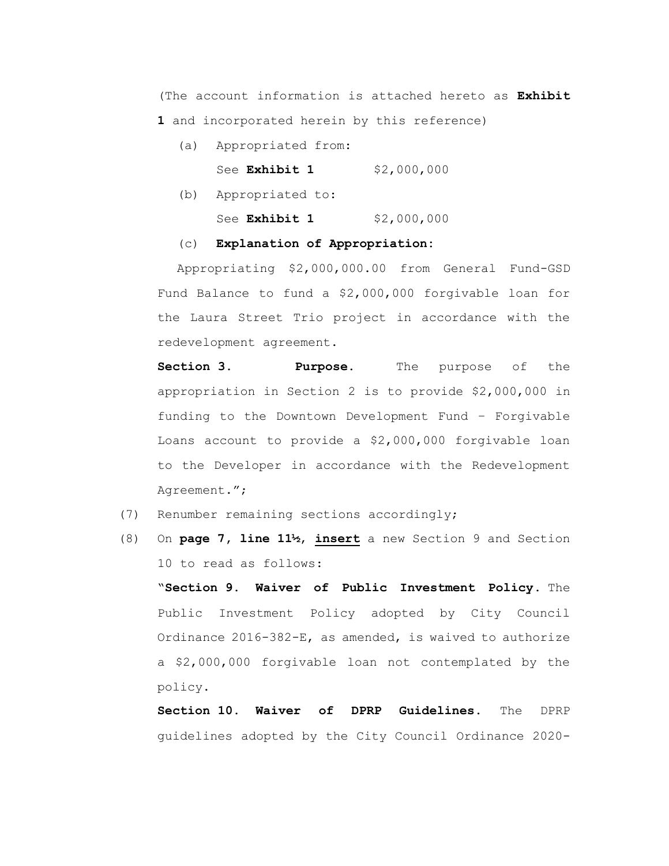(The account information is attached hereto as **Exhibit** 

**1** and incorporated herein by this reference)

- (a) Appropriated from: See **Exhibit 1** \$2,000,000
- (b) Appropriated to:

See **Exhibit 1** \$2,000,000

## (c) **Explanation of Appropriation:**

Appropriating \$2,000,000.00 from General Fund-GSD Fund Balance to fund a \$2,000,000 forgivable loan for the Laura Street Trio project in accordance with the redevelopment agreement.

**Section 3. Purpose.** The purpose of the appropriation in Section 2 is to provide \$2,000,000 in funding to the Downtown Development Fund – Forgivable Loans account to provide a \$2,000,000 forgivable loan to the Developer in accordance with the Redevelopment Agreement.";

- (7) Renumber remaining sections accordingly;
- (8) On **page 7, line 11½**, **insert** a new Section 9 and Section 10 to read as follows:

"**Section 9. Waiver of Public Investment Policy.** The Public Investment Policy adopted by City Council Ordinance 2016-382-E, as amended, is waived to authorize a \$2,000,000 forgivable loan not contemplated by the policy.

**Section 10. Waiver of DPRP Guidelines.** The DPRP guidelines adopted by the City Council Ordinance 2020-